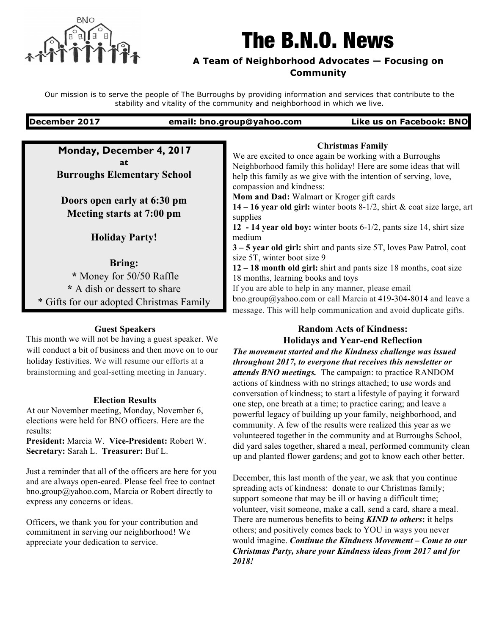

# The B.N.O. News

#### **A Team of Neighborhood Advocates — Focusing on Community**

Our mission is to serve the people of The Burroughs by providing information and services that contribute to the stability and vitality of the community and neighborhood in which we live.

**December 2017 email: bno.group@yahoo.com Like us on Facebook: BNO**

**Monday, December 4, 2017 at Burroughs Elementary School**

**Doors open early at 6:30 pm Meeting starts at 7:00 pm**

**Holiday Party!**

### **Bring:**

**\*** Money for 50/50 Raffle **\*** A dish or dessert to share \* Gifts for our adopted Christmas Family

#### **Guest Speakers**

This month we will not be having a guest speaker. We will conduct a bit of business and then move on to our holiday festivities. We will resume our efforts at a brainstorming and goal-setting meeting in January.

#### **Election Results**

At our November meeting, Monday, November 6, elections were held for BNO officers. Here are the results:

**President:** Marcia W. **Vice-President:** Robert W. **Secretary:** Sarah L. **Treasurer:** Buf L.

Just a reminder that all of the officers are here for you and are always open-eared. Please feel free to contact bno.group@yahoo.com, Marcia or Robert directly to express any concerns or ideas.

Officers, we thank you for your contribution and commitment in serving our neighborhood! We appreciate your dedication to service.

#### **Christmas Family**

We are excited to once again be working with a Burroughs Neighborhood family this holiday! Here are some ideas that will help this family as we give with the intention of serving, love, compassion and kindness:

**Mom and Dad:** Walmart or Kroger gift cards

**14 – 16 year old girl:** winter boots 8-1/2, shirt & coat size large, art supplies

**12 - 14 year old boy:** winter boots 6-1/2, pants size 14, shirt size medium

**3 – 5 year old girl:** shirt and pants size 5T, loves Paw Patrol, coat size 5T, winter boot size 9

**12 – 18 month old girl:** shirt and pants size 18 months, coat size 18 months, learning books and toys

If you are able to help in any manner, please email

bno.group@yahoo.com or call Marcia at 419-304-8014 and leave a message. This will help communication and avoid duplicate gifts.

## **Random Acts of Kindness:**

**Holidays and Year-end Reflection** *The movement started and the Kindness challenge was issued throughout 2017, to everyone that receives this newsletter or attends BNO meetings.* The campaign: to practice RANDOM

actions of kindness with no strings attached; to use words and conversation of kindness; to start a lifestyle of paying it forward one step, one breath at a time; to practice caring; and leave a powerful legacy of building up your family, neighborhood, and community. A few of the results were realized this year as we volunteered together in the community and at Burroughs School, did yard sales together, shared a meal, performed community clean up and planted flower gardens; and got to know each other better.

December, this last month of the year, we ask that you continue spreading acts of kindness: donate to our Christmas family; support someone that may be ill or having a difficult time; volunteer, visit someone, make a call, send a card, share a meal. There are numerous benefits to being *KIND to others***:** it helps others; and positively comes back to YOU in ways you never would imagine. *Continue the Kindness Movement – Come to our Christmas Party, share your Kindness ideas from 2017 and for 2018!*